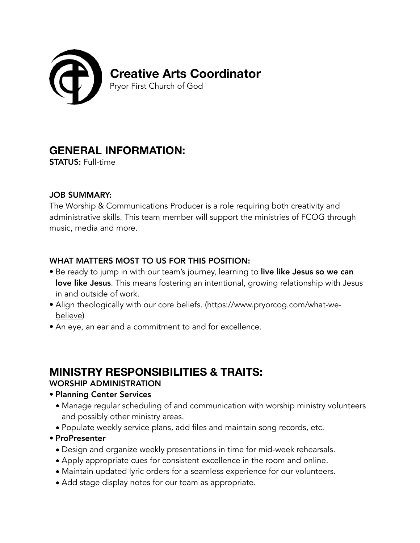

# **GENERAL INFORMATION:**

STATUS: Full-time

#### JOB SUMMARY:

The Worship & Communications Producer is a role requiring both creativity and administrative skills. This team member will support the ministries of FCOG through music, media and more.

## WHAT MATTERS MOST TO US FOR THIS POSITION:

- Be ready to jump in with our team's journey, learning to live like Jesus so we can love like Jesus. This means fostering an intentional, growing relationship with Jesus in and outside of work.
- Align theologically with our core beliefs. [\(https://www.pryorcog.com/what-we](https://www.pryorcog.com/what-we-believe)[believe\)](https://www.pryorcog.com/what-we-believe)
- An eye, an ear and a commitment to and for excellence.

# **MINISTRY RESPONSIBILITIES & TRAITS:**

## WORSHIP ADMINISTRATION

- Planning Center Services
	- Manage regular scheduling of and communication with worship ministry volunteers and possibly other ministry areas.
	- Populate weekly service plans, add files and maintain song records, etc.
- ProPresenter
	- Design and organize weekly presentations in time for mid-week rehearsals.
	- Apply appropriate cues for consistent excellence in the room and online.
	- Maintain updated lyric orders for a seamless experience for our volunteers.
	- Add stage display notes for our team as appropriate.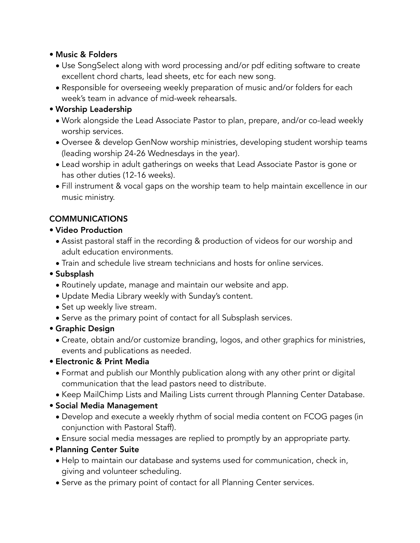#### • Music & Folders

- Use SongSelect along with word processing and/or pdf editing software to create excellent chord charts, lead sheets, etc for each new song.
- Responsible for overseeing weekly preparation of music and/or folders for each week's team in advance of mid-week rehearsals.

## • Worship Leadership

- Work alongside the Lead Associate Pastor to plan, prepare, and/or co-lead weekly worship services.
- Oversee & develop GenNow worship ministries, developing student worship teams (leading worship 24-26 Wednesdays in the year).
- Lead worship in adult gatherings on weeks that Lead Associate Pastor is gone or has other duties (12-16 weeks).
- Fill instrument & vocal gaps on the worship team to help maintain excellence in our music ministry.

## **COMMUNICATIONS**

- Video Production
	- Assist pastoral staff in the recording & production of videos for our worship and adult education environments.
	- Train and schedule live stream technicians and hosts for online services.
- Subsplash
	- Routinely update, manage and maintain our website and app.
	- Update Media Library weekly with Sunday's content.
	- Set up weekly live stream.
	- Serve as the primary point of contact for all Subsplash services.
- Graphic Design
	- Create, obtain and/or customize branding, logos, and other graphics for ministries, events and publications as needed.

## • Electronic & Print Media

- Format and publish our Monthly publication along with any other print or digital communication that the lead pastors need to distribute.
- Keep MailChimp Lists and Mailing Lists current through Planning Center Database.

## • Social Media Management

- Develop and execute a weekly rhythm of social media content on FCOG pages (in conjunction with Pastoral Staff).
- Ensure social media messages are replied to promptly by an appropriate party.
- Planning Center Suite
	- Help to maintain our database and systems used for communication, check in, giving and volunteer scheduling.
	- Serve as the primary point of contact for all Planning Center services.